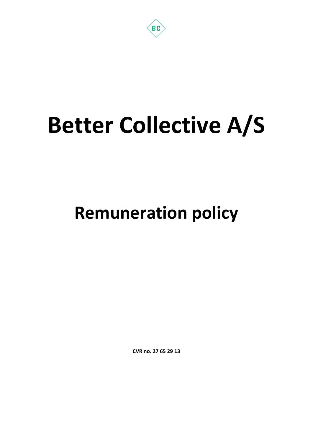

# Better Collective A/S

# Remuneration policy

CVR no. 27 65 29 13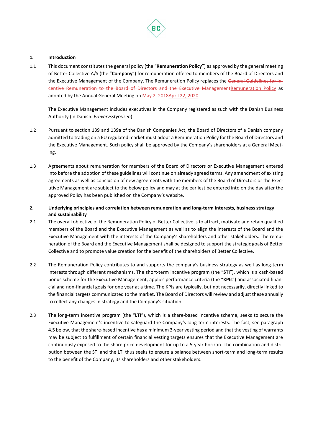

# 1. Introduction

1.1 This document constitutes the general policy (the "Remuneration Policy") as approved by the general meeting of Better Collective A/S (the "Company") for remuneration offered to members of the Board of Directors and the Executive Management of the Company. The Remuneration Policy replaces the General Guidelines for Incentive Remuneration to the Board of Directors and the Executive ManagementRemuneration Policy as adopted by the Annual General Meeting on May 2, 2018April 22, 2020.

The Executive Management includes executives in the Company registered as such with the Danish Business Authority (in Danish: Erhvervsstyrelsen).

- 1.2 Pursuant to section 139 and 139a of the Danish Companies Act, the Board of Directors of a Danish company admitted to trading on a EU regulated market must adopt a Remuneration Policy for the Board of Directors and the Executive Management. Such policy shall be approved by the Company's shareholders at a General Meeting.
- 1.3 Agreements about remuneration for members of the Board of Directors or Executive Management entered into before the adoption of these guidelines will continue on already agreed terms. Any amendment of existing agreements as well as conclusion of new agreements with the members of the Board of Directors or the Executive Management are subject to the below policy and may at the earliest be entered into on the day after the approved Policy has been published on the Company's website.
- 2. Underlying principles and correlation between remuneration and long-term interests, business strategy and sustainability
- 2.1 The overall objective of the Remuneration Policy of Better Collective is to attract, motivate and retain qualified members of the Board and the Executive Management as well as to align the interests of the Board and the Executive Management with the interests of the Company's shareholders and other stakeholders. The remuneration of the Board and the Executive Management shall be designed to support the strategic goals of Better Collective and to promote value creation for the benefit of the shareholders of Better Collective.
- 2.2 The Remuneration Policy contributes to and supports the company's business strategy as well as long-term interests through different mechanisms. The short-term incentive program (the "STI"), which is a cash-based bonus scheme for the Executive Management, applies performance criteria (the "KPIs") and associated financial and non-financial goals for one year at a time. The KPIs are typically, but not necessarily, directly linked to the financial targets communicated to the market. The Board of Directors will review and adjust these annually to reflect any changes in strategy and the Company's situation.
- 2.3 The long-term incentive program (the "LTI"), which is a share-based incentive scheme, seeks to secure the Executive Management's incentive to safeguard the Company's long-term interests. The fact, see paragraph 4.5 below, that the share-based incentive has a minimum 3-year vesting period and that the vesting of warrants may be subject to fulfillment of certain financial vesting targets ensures that the Executive Management are continuously exposed to the share price development for up to a 5-year horizon. The combination and distribution between the STI and the LTI thus seeks to ensure a balance between short-term and long-term results to the benefit of the Company, its shareholders and other stakeholders.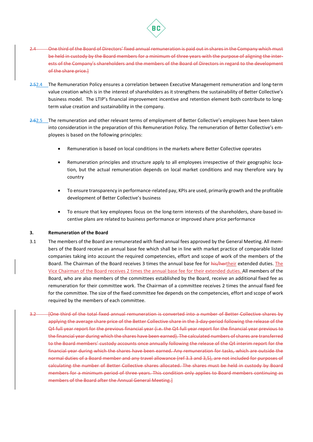

- 2.4 One third of the Board of Directors' fixed annual remuneration is paid out in shares in the Company which must be held in custody by the Board members for a minimum of three years with the purpose of aligning the interests of the Company's shareholders and the members of the Board of Directors in regard to the development of the share price.]
- 2.52.4 The Remuneration Policy ensures a correlation between Executive Management remuneration and long-term value creation which is in the interest of shareholders as it strengthens the sustainability of Better Collective's business model. The LTIP's financial improvement incentive and retention element both contribute to longterm value creation and sustainability in the company.
- 2.62.5 The remuneration and other relevant terms of employment of Better Collective's employees have been taken into consideration in the preparation of this Remuneration Policy. The remuneration of Better Collective's employees is based on the following principles:
	- Remuneration is based on local conditions in the markets where Better Collective operates
	- Remuneration principles and structure apply to all employees irrespective of their geographic location, but the actual remuneration depends on local market conditions and may therefore vary by country
	- To ensure transparency in performance-related pay, KPIs are used, primarily growth and the profitable development of Better Collective's business
	- To ensure that key employees focus on the long-term interests of the shareholders, share-based incentive plans are related to business performance or improved share price performance

# 3. Remuneration of the Board

- 3.1 The members of the Board are remunerated with fixed annual fees approved by the General Meeting. All members of the Board receive an annual base fee which shall be in line with market practice of comparable listed companies taking into account the required competencies, effort and scope of work of the members of the Board. The Chairman of the Board receives 3 times the annual base fee for his/hertheir extended duties. The Vice Chairman of the Board receives 2 times the annual base fee for their extended duties. All members of the Board, who are also members of the committees established by the Board, receive an additional fixed fee as remuneration for their committee work. The Chairman of a committee receives 2 times the annual fixed fee for the committee. The size of the fixed committee fee depends on the competencies, effort and scope of work required by the members of each committee.
- 3.2 [One third of the total fixed annual remuneration is converted into a number of Better Collective shares by applying the average share price of the Better Collective share in the 3-day-period following the release of the Q4 full year report for the previous financial year (i.e. the Q4 full year report for the financial year previous to the financial year during which the shares have been earned). The calculated numbers of shares are transferred to the Board members' custody accounts once annually following the release of the Q4 interim report for the financial year during which the shares have been earned. Any remuneration for tasks, which are outside the normal duties of a Board member and any travel allowance (ref 3.3 and 3,5), are not included for purposes of calculating the number of Better Collective shares allocated. The shares must be held in custody by Board members for a minimum period of three years. This condition only applies to Board members continuing as members of the Board after the Annual General Meeting.]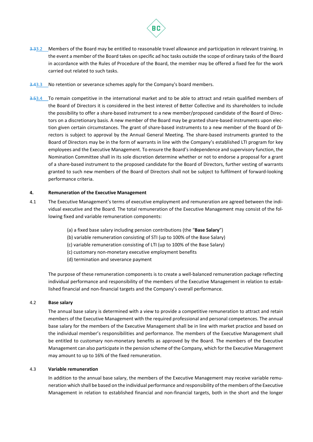

- 3.33.2 Members of the Board may be entitled to reasonable travel allowance and participation in relevant training. In the event a member of the Board takes on specific ad hoc tasks outside the scope of ordinary tasks of the Board in accordance with the Rules of Procedure of the Board, the member may be offered a fixed fee for the work carried out related to such tasks.
- 3.43.3 No retention or severance schemes apply for the Company's board members.
- 3.53.4 To remain competitive in the international market and to be able to attract and retain qualified members of the Board of Directors it is considered in the best interest of Better Collective and its shareholders to include the possibility to offer a share-based instrument to a new member/proposed candidate of the Board of Directors on a discretionary basis. A new member of the Board may be granted share-based instruments upon election given certain circumstances. The grant of share-based instruments to a new member of the Board of Directors is subject to approval by the Annual General Meeting. The share-based instruments granted to the Board of Directors may be in the form of warrants in line with the Company's established LTI program for key employees and the Executive Management. To ensure the Board's independence and supervisory function, the Nomination Committee shall in its sole discretion determine whether or not to endorse a proposal for a grant of a share-based instrument to the proposed candidate for the Board of Directors, further vesting of warrants granted to such new members of the Board of Directors shall not be subject to fulfilment of forward-looking performance criteria.

# 4. Remuneration of the Executive Management

- 4.1 The Executive Management's terms of executive employment and remuneration are agreed between the individual executive and the Board. The total remuneration of the Executive Management may consist of the following fixed and variable remuneration components:
	- (a) a fixed base salary including pension contributions (the "Base Salary")
	- (b) variable remuneration consisting of STI (up to 100% of the Base Salary)
	- (c) variable remuneration consisting of LTI (up to 100% of the Base Salary)
	- (c) customary non-monetary executive employment benefits
	- (d) termination and severance payment

The purpose of these remuneration components is to create a well-balanced remuneration package reflecting individual performance and responsibility of the members of the Executive Management in relation to established financial and non-financial targets and the Company's overall performance.

# 4.2 Base salary

The annual base salary is determined with a view to provide a competitive remuneration to attract and retain members of the Executive Management with the required professional and personal competences. The annual base salary for the members of the Executive Management shall be in line with market practice and based on the individual member's responsibilities and performance. The members of the Executive Management shall be entitled to customary non-monetary benefits as approved by the Board. The members of the Executive Management can also participate in the pension scheme of the Company, which for the Executive Management may amount to up to 16% of the fixed remuneration.

#### 4.3 Variable remuneration

In addition to the annual base salary, the members of the Executive Management may receive variable remuneration which shall be based on the individual performance and responsibility of the members of the Executive Management in relation to established financial and non-financial targets, both in the short and the longer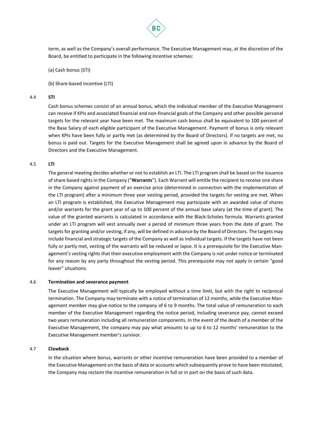

term, as well as the Company's overall performance. The Executive Management may, at the discretion of the Board, be entitled to participate in the following incentive schemes:

(a) Cash bonus (STI)

(b) Share-based incentive (LTI)

#### 4.4 STI

Cash bonus schemes consist of an annual bonus, which the individual member of the Executive Management can receive if KPIs and associated financial and non-financial goals of the Company and other possible personal targets for the relevant year have been met. The maximum cash bonus shall be equivalent to 100 percent of the Base Salary of each eligible participant of the Executive Management. Payment of bonus is only relevant when KPIs have been fully or partly met (as determined by the Board of Directors). If no targets are met, no bonus is paid out. Targets for the Executive Management shall be agreed upon in advance by the Board of Directors and the Executive Management.

#### 4.5 LTI

The general meeting decides whether or not to establish an LTI. The LTI program shall be based on the issuance of share based rights in the Company ("Warrants"). Each Warrant will entitle the recipient to receive one share in the Company against payment of an exercise price (determined in connection with the implementation of the LTI program) after a minimum three year vesting period, provided the targets for vesting are met. When an LTI program is established, the Executive Management may participate with an awarded value of shares and/or warrants for the grant year of up to 100 percent of the annual base salary (at the time of grant). The value of the granted warrants is calculated in accordance with the Black-Scholes formula. Warrants granted under an LTI program will vest annually over a period of minimum three years from the date of grant. The targets for granting and/or vesting, if any, will be defined in advance by the Board of Directors. The targets may include financial and strategic targets of the Company as well as individual targets. If the targets have not been fully or partly met, vesting of the warrants will be reduced or lapse. It is a prerequisite for the Executive Management's vesting rights that their executive employment with the Company is not under notice or terminated for any reason by any party throughout the vesting period. This prerequisite may not apply in certain "good leaver" situations.

#### 4.6 Termination and severance payment

The Executive Management will typically be employed without a time limit, but with the right to reciprocal termination. The Company may terminate with a notice of termination of 12 months, while the Executive Management member may give notice to the company of 6 to 9 months. The total value of remuneration to each member of the Executive Management regarding the notice period, including severance pay, cannot exceed two years remuneration including all remuneration components. In the event of the death of a member of the Executive Management, the company may pay what amounts to up to 6 to 12 months' remuneration to the Executive Management member's survivor.

#### 4.7 Clawback

In the situation where bonus, warrants or other incentive remuneration have been provided to a member of the Executive Management on the basis of data or accounts which subsequently prove to have been misstated, the Company may reclaim the incentive remuneration in full or in part on the basis of such data.